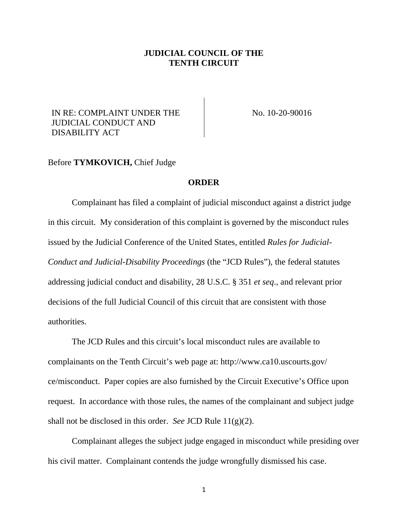## **JUDICIAL COUNCIL OF THE TENTH CIRCUIT**

## IN RE: COMPLAINT UNDER THE JUDICIAL CONDUCT AND DISABILITY ACT

No. 10-20-90016

## Before **TYMKOVICH,** Chief Judge

## **ORDER**

Complainant has filed a complaint of judicial misconduct against a district judge in this circuit. My consideration of this complaint is governed by the misconduct rules issued by the Judicial Conference of the United States, entitled *Rules for Judicial-Conduct and Judicial-Disability Proceedings* (the "JCD Rules"), the federal statutes addressing judicial conduct and disability, 28 U.S.C. § 351 *et seq*., and relevant prior decisions of the full Judicial Council of this circuit that are consistent with those authorities.

The JCD Rules and this circuit's local misconduct rules are available to complainants on the Tenth Circuit's web page at: http://www.ca10.uscourts.gov/ ce/misconduct. Paper copies are also furnished by the Circuit Executive's Office upon request. In accordance with those rules, the names of the complainant and subject judge shall not be disclosed in this order. *See* JCD Rule 11(g)(2).

Complainant alleges the subject judge engaged in misconduct while presiding over his civil matter. Complainant contends the judge wrongfully dismissed his case.

1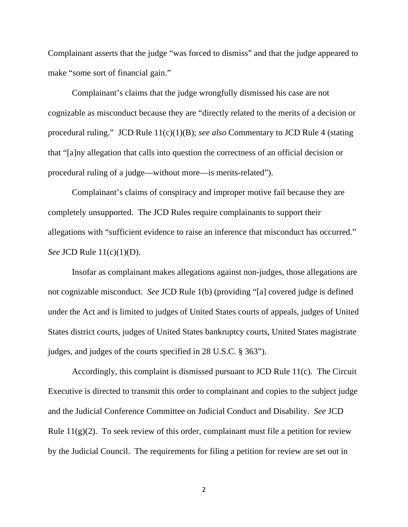Complainant asserts that the judge "was forced to dismiss" and that the judge appeared to make "some sort of financial gain."

Complainant's claims that the judge wrongfully dismissed his case are not cognizable as misconduct because they are "directly related to the merits of a decision or procedural ruling." JCD Rule 11(c)(1)(B); *see also* Commentary to JCD Rule 4 (stating that "[a]ny allegation that calls into question the correctness of an official decision or procedural ruling of a judge—without more—is merits-related").

Complainant's claims of conspiracy and improper motive fail because they are completely unsupported. The JCD Rules require complainants to support their allegations with "sufficient evidence to raise an inference that misconduct has occurred." *See* JCD Rule  $11(c)(1)(D)$ .

Insofar as complainant makes allegations against non-judges, those allegations are not cognizable misconduct. *See* JCD Rule 1(b) (providing "[a] covered judge is defined under the Act and is limited to judges of United States courts of appeals, judges of United States district courts, judges of United States bankruptcy courts, United States magistrate judges, and judges of the courts specified in 28 U.S.C. § 363").

Accordingly, this complaint is dismissed pursuant to JCD Rule 11(c). The Circuit Executive is directed to transmit this order to complainant and copies to the subject judge and the Judicial Conference Committee on Judicial Conduct and Disability. *See* JCD Rule  $11(g)(2)$ . To seek review of this order, complainant must file a petition for review by the Judicial Council. The requirements for filing a petition for review are set out in

2